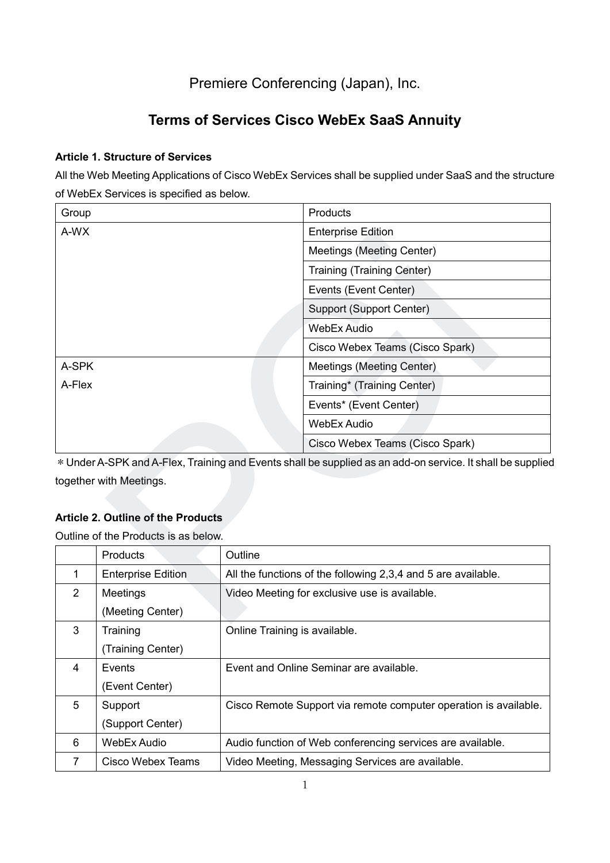# Premiere Conferencing (Japan), Inc.

# **Terms of Services Cisco WebEx SaaS Annuity**

# **Article 1. Structure of Services**

All the Web Meeting Applications of Cisco WebEx Services shall be supplied under SaaS and the structure of WebEx Services is specified as below.

| Group                                     | Products                                                                                                   |  |  |
|-------------------------------------------|------------------------------------------------------------------------------------------------------------|--|--|
| A-WX                                      | <b>Enterprise Edition</b>                                                                                  |  |  |
|                                           | Meetings (Meeting Center)                                                                                  |  |  |
|                                           | <b>Training (Training Center)</b>                                                                          |  |  |
|                                           | Events (Event Center)                                                                                      |  |  |
|                                           | Support (Support Center)                                                                                   |  |  |
|                                           | <b>WebEx Audio</b>                                                                                         |  |  |
|                                           | Cisco Webex Teams (Cisco Spark)                                                                            |  |  |
| A-SPK                                     | Meetings (Meeting Center)                                                                                  |  |  |
| A-Flex                                    | Training* (Training Center)                                                                                |  |  |
|                                           | Events* (Event Center)                                                                                     |  |  |
|                                           | <b>WebEx Audio</b>                                                                                         |  |  |
|                                           | Cisco Webex Teams (Cisco Spark)                                                                            |  |  |
|                                           | * Under A-SPK and A-Flex, Training and Events shall be supplied as an add-on service. It shall be supplied |  |  |
| together with Meetings.                   |                                                                                                            |  |  |
|                                           |                                                                                                            |  |  |
| <b>Article 2. Outline of the Products</b> |                                                                                                            |  |  |
| Outline of the Products is as below.      |                                                                                                            |  |  |
| Products                                  | Outline                                                                                                    |  |  |
| $\mathbf{1}$<br><b>Enterprise Edition</b> | All the functions of the following 2,3,4 and 5 are available.                                              |  |  |
| $\overline{2}$<br>Meetings                | Video Meeting for exclusive use is available.                                                              |  |  |
| (Meeting Center)                          |                                                                                                            |  |  |

# **Article 2. Outline of the Products**

|                | <b>Products</b>           | Outline                                                          |
|----------------|---------------------------|------------------------------------------------------------------|
| 1              | <b>Enterprise Edition</b> | All the functions of the following 2,3,4 and 5 are available.    |
| $\overline{2}$ | Meetings                  | Video Meeting for exclusive use is available.                    |
|                | (Meeting Center)          |                                                                  |
| 3              | Training                  | Online Training is available.                                    |
|                | (Training Center)         |                                                                  |
| 4              | Events                    | Event and Online Seminar are available.                          |
|                | (Event Center)            |                                                                  |
| 5              | Support                   | Cisco Remote Support via remote computer operation is available. |
|                | (Support Center)          |                                                                  |
| 6              | WebEx Audio               | Audio function of Web conferencing services are available.       |
| 7              | Cisco Webex Teams         | Video Meeting, Messaging Services are available.                 |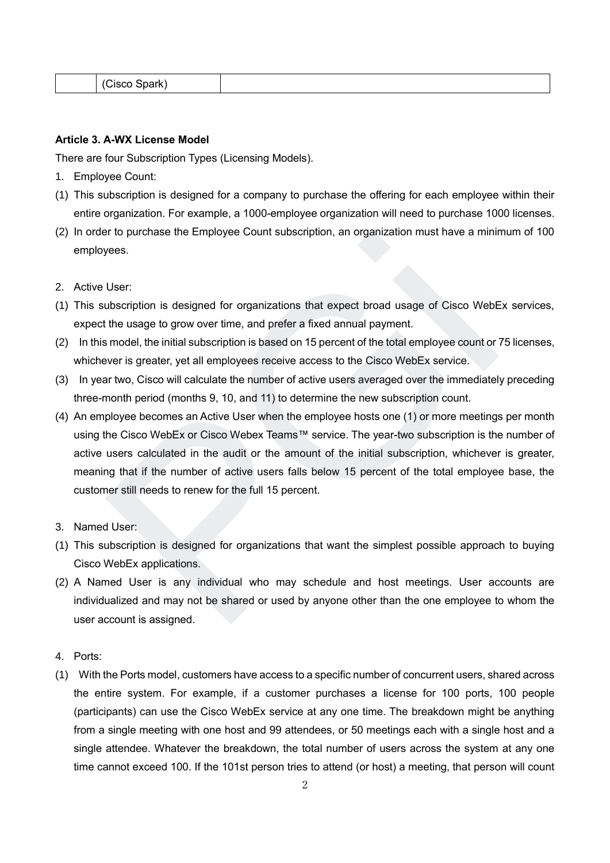| .<br>___<br>$\cdots$<br>. IS<br>--- |  |  |
|-------------------------------------|--|--|
|                                     |  |  |

#### **Article 3. A-WX License Model**

There are four Subscription Types (Licensing Models).

- 1. Employee Count:
- (1) This subscription is designed for a company to purchase the offering for each employee within their entire organization. For example, a 1000-employee organization will need to purchase 1000 licenses.
- (2) In order to purchase the Employee Count subscription, an organization must have a minimum of 100 employees.
- 2. Active User:
- (1) This subscription is designed for organizations that expect broad usage of Cisco WebEx services, expect the usage to grow over time, and prefer a fixed annual payment.
- (2) In this model, the initial subscription is based on 15 percent of the total employee count or 75 licenses, whichever is greater, yet all employees receive access to the Cisco WebEx service.
- (3) In year two, Cisco will calculate the number of active users averaged over the immediately preceding three-month period (months 9, 10, and 11) to determine the new subscription count.
- (4) An employee becomes an Active User when the employee hosts one (1) or more meetings per month using the Cisco WebEx or Cisco Webex Teams™ service. The year-two subscription is the number of active users calculated in the audit or the amount of the initial subscription, whichever is greater, meaning that if the number of active users falls below 15 percent of the total employee base, the customer still needs to renew for the full 15 percent. For purchase the Employee Count subscription, an organization must have a minimeters.<br>User:<br>User:<br>User:<br>ubscription is designed for organizations that expect broad usage of Cisco WebE<br>the usage to grow over time, and prefe
- 3. Named User:
- (1) This subscription is designed for organizations that want the simplest possible approach to buying Cisco WebEx applications.
- (2) A Named User is any individual who may schedule and host meetings. User accounts are individualized and may not be shared or used by anyone other than the one employee to whom the user account is assigned.
- 4. Ports:
- (1) With the Ports model, customers have access to a specific number of concurrent users, shared across the entire system. For example, if a customer purchases a license for 100 ports, 100 people (participants) can use the Cisco WebEx service at any one time. The breakdown might be anything from a single meeting with one host and 99 attendees, or 50 meetings each with a single host and a single attendee. Whatever the breakdown, the total number of users across the system at any one time cannot exceed 100. If the 101st person tries to attend (or host) a meeting, that person will count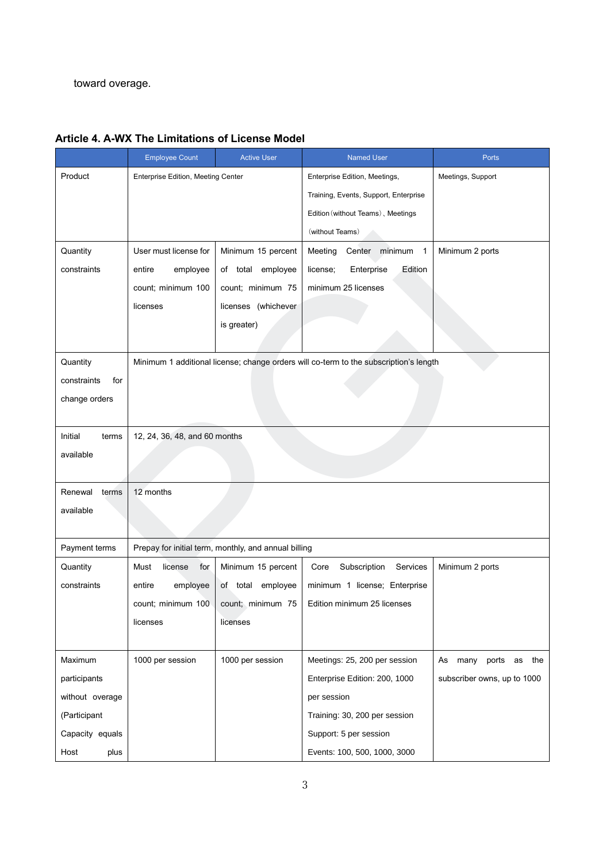toward overage.

|                    | <b>Employee Count</b>                                | <b>Active User</b>  | <b>Named User</b>                                                                     | Ports                            |
|--------------------|------------------------------------------------------|---------------------|---------------------------------------------------------------------------------------|----------------------------------|
| Product            | Enterprise Edition, Meeting Center                   |                     | Enterprise Edition, Meetings,                                                         | Meetings, Support                |
|                    |                                                      |                     | Training, Events, Support, Enterprise                                                 |                                  |
|                    |                                                      |                     | Edition (without Teams), Meetings                                                     |                                  |
|                    |                                                      |                     | (without Teams)                                                                       |                                  |
| Quantity           | User must license for                                | Minimum 15 percent  | Meeting<br>Center minimum<br>$\overline{1}$                                           | Minimum 2 ports                  |
| constraints        | employee<br>entire                                   | of total employee   | license;<br>Enterprise<br>Edition                                                     |                                  |
|                    | count; minimum 100                                   | count; minimum 75   | minimum 25 licenses                                                                   |                                  |
|                    | licenses                                             | licenses (whichever |                                                                                       |                                  |
|                    |                                                      | is greater)         |                                                                                       |                                  |
|                    |                                                      |                     |                                                                                       |                                  |
| Quantity           |                                                      |                     | Minimum 1 additional license; change orders will co-term to the subscription's length |                                  |
| constraints<br>for |                                                      |                     |                                                                                       |                                  |
| change orders      |                                                      |                     |                                                                                       |                                  |
|                    |                                                      |                     |                                                                                       |                                  |
| Initial<br>terms   | 12, 24, 36, 48, and 60 months                        |                     |                                                                                       |                                  |
| available          |                                                      |                     |                                                                                       |                                  |
|                    |                                                      |                     |                                                                                       |                                  |
| Renewal<br>terms   | 12 months                                            |                     |                                                                                       |                                  |
| available          |                                                      |                     |                                                                                       |                                  |
|                    |                                                      |                     |                                                                                       |                                  |
| Payment terms      | Prepay for initial term, monthly, and annual billing |                     |                                                                                       |                                  |
| Quantity           | Must<br>license<br>for                               | Minimum 15 percent  | Subscription<br>Services<br>Core                                                      | Minimum 2 ports                  |
| constraints        | employee<br>entire                                   | of total employee   | minimum 1 license; Enterprise                                                         |                                  |
|                    | count; minimum 100                                   | count; minimum 75   | Edition minimum 25 licenses                                                           |                                  |
|                    | licenses                                             | licenses            |                                                                                       |                                  |
|                    |                                                      |                     |                                                                                       |                                  |
| Maximum            | 1000 per session                                     | 1000 per session    | Meetings: 25, 200 per session                                                         | many<br>As<br>ports<br>as<br>the |
| participants       |                                                      |                     | Enterprise Edition: 200, 1000                                                         | subscriber owns, up to 1000      |
| without overage    |                                                      |                     | per session                                                                           |                                  |
| (Participant       |                                                      |                     | Training: 30, 200 per session                                                         |                                  |
| Capacity equals    |                                                      |                     | Support: 5 per session                                                                |                                  |
| Host<br>plus       |                                                      |                     | Events: 100, 500, 1000, 3000                                                          |                                  |

# **Article 4. A-WX The Limitations of License Model**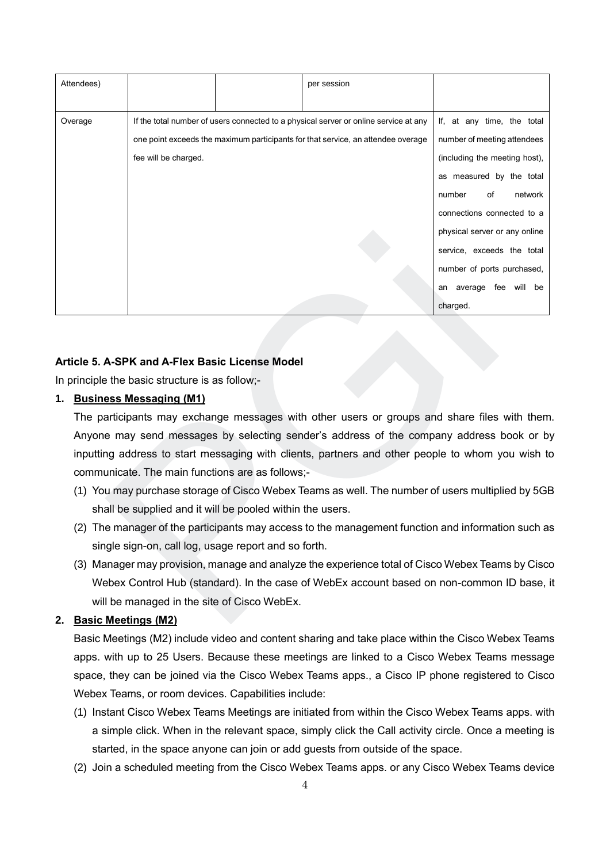| Attendees)                                                |                                                                                                                                      |                                                                                      | per session                                                                                      |                               |  |
|-----------------------------------------------------------|--------------------------------------------------------------------------------------------------------------------------------------|--------------------------------------------------------------------------------------|--------------------------------------------------------------------------------------------------|-------------------------------|--|
|                                                           |                                                                                                                                      |                                                                                      |                                                                                                  |                               |  |
| Overage                                                   |                                                                                                                                      | If the total number of users connected to a physical server or online service at any |                                                                                                  |                               |  |
|                                                           |                                                                                                                                      |                                                                                      | one point exceeds the maximum participants for that service, an attendee overage                 | number of meeting attendees   |  |
|                                                           | fee will be charged.                                                                                                                 |                                                                                      |                                                                                                  | (including the meeting host), |  |
|                                                           |                                                                                                                                      |                                                                                      |                                                                                                  | as measured by the total      |  |
|                                                           |                                                                                                                                      |                                                                                      |                                                                                                  | number<br>of<br>network       |  |
|                                                           |                                                                                                                                      |                                                                                      |                                                                                                  | connections connected to a    |  |
|                                                           |                                                                                                                                      |                                                                                      |                                                                                                  | physical server or any online |  |
|                                                           |                                                                                                                                      |                                                                                      |                                                                                                  | service, exceeds the total    |  |
|                                                           |                                                                                                                                      |                                                                                      |                                                                                                  | number of ports purchased,    |  |
|                                                           |                                                                                                                                      |                                                                                      |                                                                                                  | an average fee will be        |  |
|                                                           |                                                                                                                                      |                                                                                      |                                                                                                  | charged.                      |  |
| 1.                                                        | Article 5. A-SPK and A-Flex Basic License Model<br>In principle the basic structure is as follow;-<br><b>Business Messaging (M1)</b> |                                                                                      |                                                                                                  |                               |  |
|                                                           |                                                                                                                                      |                                                                                      | The participants may exchange messages with other users or groups and share files with them      |                               |  |
|                                                           |                                                                                                                                      |                                                                                      | Anyone may send messages by selecting sender's address of the company address book or b          |                               |  |
|                                                           |                                                                                                                                      |                                                                                      | inputting address to start messaging with clients, partners and other people to whom you wish to |                               |  |
|                                                           | communicate. The main functions are as follows;-                                                                                     |                                                                                      |                                                                                                  |                               |  |
|                                                           | (1) You may purchase storage of Cisco Webex Teams as well. The number of users multiplied by 5GI                                     |                                                                                      |                                                                                                  |                               |  |
| shall be supplied and it will be pooled within the users. |                                                                                                                                      |                                                                                      |                                                                                                  |                               |  |
|                                                           | (2) The manager of the participants may access to the management function and information such a                                     |                                                                                      |                                                                                                  |                               |  |
|                                                           | single sign-on, call log, usage report and so forth.                                                                                 |                                                                                      |                                                                                                  |                               |  |
|                                                           |                                                                                                                                      |                                                                                      | (3) Manager may provision, manage and analyze the experience total of Cisco Webex Teams by Cisc  |                               |  |
|                                                           |                                                                                                                                      |                                                                                      | Webex Control Hub (standard). In the case of WebEx account based on non-common ID base,          |                               |  |
|                                                           | will be managed in the site of Cisco WebEx.                                                                                          |                                                                                      |                                                                                                  |                               |  |
|                                                           | 2. Basic Meetings (M2)                                                                                                               |                                                                                      |                                                                                                  |                               |  |

### **Article 5. A-SPK and A-Flex Basic License Model**

## **1. Business Messaging (M1)**

- (1) You may purchase storage of Cisco Webex Teams as well. The number of users multiplied by 5GB shall be supplied and it will be pooled within the users.
- (2) The manager of the participants may access to the management function and information such as single sign-on, call log, usage report and so forth.
- (3) Manager may provision, manage and analyze the experience total of Cisco Webex Teams by Cisco Webex Control Hub (standard). In the case of WebEx account based on non-common ID base, it will be managed in the site of Cisco WebEx.

## **2. Basic Meetings (M2)**

Basic Meetings (M2) include video and content sharing and take place within the Cisco Webex Teams apps. with up to 25 Users. Because these meetings are linked to a Cisco Webex Teams message space, they can be joined via the Cisco Webex Teams apps., a Cisco IP phone registered to Cisco Webex Teams, or room devices. Capabilities include:

- (1) Instant Cisco Webex Teams Meetings are initiated from within the Cisco Webex Teams apps. with a simple click. When in the relevant space, simply click the Call activity circle. Once a meeting is started, in the space anyone can join or add guests from outside of the space.
- (2) Join a scheduled meeting from the Cisco Webex Teams apps. or any Cisco Webex Teams device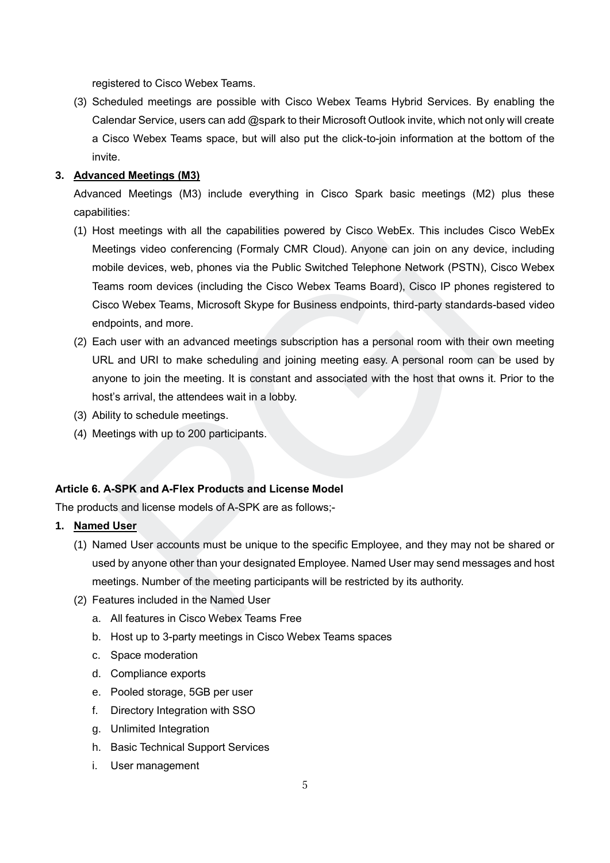registered to Cisco Webex Teams.

(3) Scheduled meetings are possible with Cisco Webex Teams Hybrid Services. By enabling the Calendar Service, users can add @spark to their Microsoft Outlook invite, which not only will create a Cisco Webex Teams space, but will also put the click-to-join information at the bottom of the invite.

### **3. Advanced Meetings (M3)**

Advanced Meetings (M3) include everything in Cisco Spark basic meetings (M2) plus these capabilities:

- (1) Host meetings with all the capabilities powered by Cisco WebEx. This includes Cisco WebEx Meetings video conferencing (Formaly CMR Cloud). Anyone can join on any device, including mobile devices, web, phones via the Public Switched Telephone Network (PSTN), Cisco Webex Teams room devices (including the Cisco Webex Teams Board), Cisco IP phones registered to Cisco Webex Teams, Microsoft Skype for Business endpoints, third-party standards-based video endpoints, and more. ist meetings with ail the capabilities powered by Cisco WebEx. This includes Cit<br>eletings video conferencing (Formally CMR Cloud). Anyone can join on any devices<br>biblie devices, web, phones via the Public Switched Telephon
- (2) Each user with an advanced meetings subscription has a personal room with their own meeting URL and URI to make scheduling and joining meeting easy. A personal room can be used by anyone to join the meeting. It is constant and associated with the host that owns it. Prior to the host's arrival, the attendees wait in a lobby.
- (3) Ability to schedule meetings.
- (4) Meetings with up to 200 participants.

### **Article 6. A-SPK and A-Flex Products and License Model**

The products and license models of A-SPK are as follows;-

#### **1. Named User**

- (1) Named User accounts must be unique to the specific Employee, and they may not be shared or used by anyone other than your designated Employee. Named User may send messages and host meetings. Number of the meeting participants will be restricted by its authority.
- (2) Features included in the Named User
	- a. All features in Cisco Webex Teams Free
	- b. Host up to 3-party meetings in Cisco Webex Teams spaces
	- c. Space moderation
	- d. Compliance exports
	- e. Pooled storage, 5GB per user
	- f. Directory Integration with SSO
	- g. Unlimited Integration
	- h. Basic Technical Support Services
	- i. User management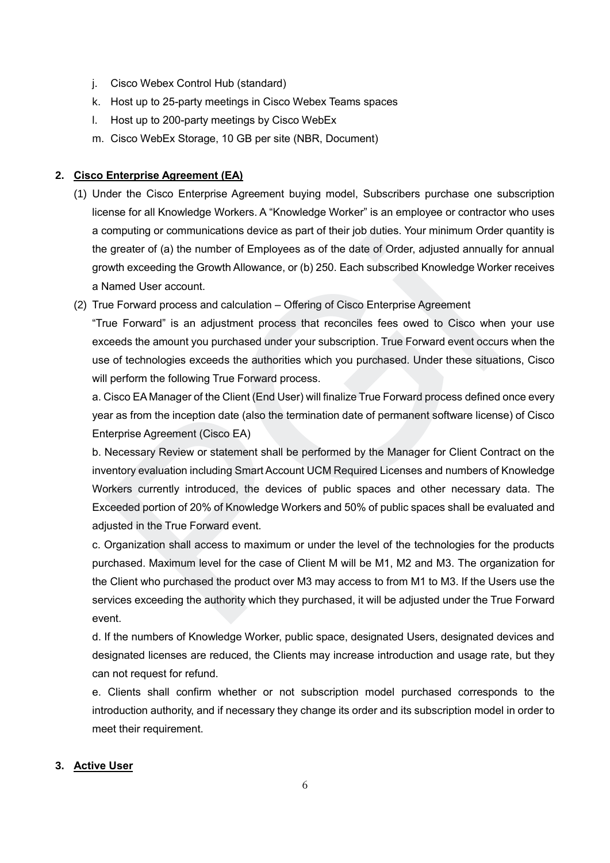- j. Cisco Webex Control Hub (standard)
- k. Host up to 25-party meetings in Cisco Webex Teams spaces
- l. Host up to 200-party meetings by Cisco WebEx
- m. Cisco WebEx Storage, 10 GB per site (NBR, Document)

### **2. Cisco Enterprise Agreement (EA)**

- (1) Under the Cisco Enterprise Agreement buying model, Subscribers purchase one subscription license for all Knowledge Workers. A "Knowledge Worker" is an employee or contractor who uses a computing or communications device as part of their job duties. Your minimum Order quantity is the greater of (a) the number of Employees as of the date of Order, adjusted annually for annual growth exceeding the Growth Allowance, or (b) 250. Each subscribed Knowledge Worker receives a Named User account.
- (2) True Forward process and calculation Offering of Cisco Enterprise Agreement

"True Forward" is an adjustment process that reconciles fees owed to Cisco when your use exceeds the amount you purchased under your subscription. True Forward event occurs when the use of technologies exceeds the authorities which you purchased. Under these situations, Cisco will perform the following True Forward process.

a. Cisco EA Manager of the Client (End User) will finalize True Forward process defined once every year as from the inception date (also the termination date of permanent software license) of Cisco Enterprise Agreement (Cisco EA)

b. Necessary Review or statement shall be performed by the Manager for Client Contract on the inventory evaluation including Smart Account UCM Required Licenses and numbers of Knowledge Workers currently introduced, the devices of public spaces and other necessary data. The Exceeded portion of 20% of Knowledge Workers and 50% of public spaces shall be evaluated and adjusted in the True Forward event. computing or communications device as part of their pio dutes. Four minimum Order<br>
greater of (a) he number of Employees as of the date of Order, adjusted annually<br>
standard User account.<br>
Harmed User account.<br>
Je Forward

c. Organization shall access to maximum or under the level of the technologies for the products purchased. Maximum level for the case of Client M will be M1, M2 and M3. The organization for the Client who purchased the product over M3 may access to from M1 to M3. If the Users use the services exceeding the authority which they purchased, it will be adjusted under the True Forward event.

d. If the numbers of Knowledge Worker, public space, designated Users, designated devices and designated licenses are reduced, the Clients may increase introduction and usage rate, but they can not request for refund.

e. Clients shall confirm whether or not subscription model purchased corresponds to the introduction authority, and if necessary they change its order and its subscription model in order to meet their requirement.

#### **3. Active User**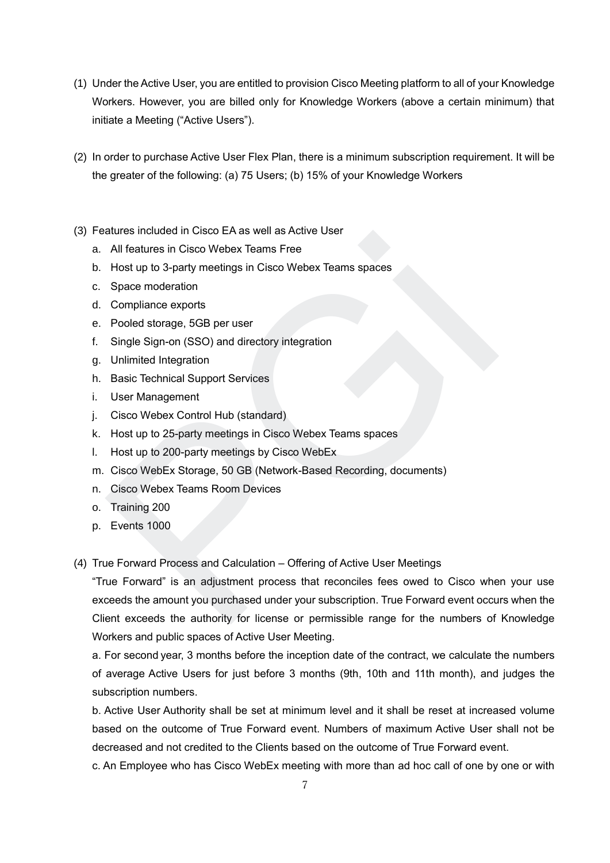- (1) Under the Active User, you are entitled to provision Cisco Meeting platform to all of your Knowledge Workers. However, you are billed only for Knowledge Workers (above a certain minimum) that initiate a Meeting ("Active Users").
- (2) In order to purchase Active User Flex Plan, there is a minimum subscription requirement. It will be the greater of the following: (a) 75 Users; (b) 15% of your Knowledge Workers
- (3) Features included in Cisco EA as well as Active User
	- a. All features in Cisco Webex Teams Free
	- b. Host up to 3-party meetings in Cisco Webex Teams spaces
	- c. Space moderation
	- d. Compliance exports
	- e. Pooled storage, 5GB per user
	- f. Single Sign-on (SSO) and directory integration
	- g. Unlimited Integration
	- h. Basic Technical Support Services
	- i. User Management
	- j. Cisco Webex Control Hub (standard)
	- k. Host up to 25-party meetings in Cisco Webex Teams spaces
	- l. Host up to 200-party meetings by Cisco WebEx
	- m. Cisco WebEx Storage, 50 GB (Network-Based Recording, documents)
	- n. Cisco Webex Teams Room Devices
	- o. Training 200
	- p. Events 1000
- (4) True Forward Process and Calculation Offering of Active User Meetings

"True Forward" is an adjustment process that reconciles fees owed to Cisco when your use exceeds the amount you purchased under your subscription. True Forward event occurs when the Client exceeds the authority for license or permissible range for the numbers of Knowledge Workers and public spaces of Active User Meeting. alures included in Cisco EA as well as Active User<br>All features in Cisco Webex Teams Free<br>Histarup to 3-party meetings in Cisco Webex Teams spaces<br>Space moderation<br>Compliance exports<br>Pooled storage, 5GB per user<br>Single Sig

a. For second year, 3 months before the inception date of the contract, we calculate the numbers of average Active Users for just before 3 months (9th, 10th and 11th month), and judges the subscription numbers.

b. Active User Authority shall be set at minimum level and it shall be reset at increased volume based on the outcome of True Forward event. Numbers of maximum Active User shall not be decreased and not credited to the Clients based on the outcome of True Forward event.

c. An Employee who has Cisco WebEx meeting with more than ad hoc call of one by one or with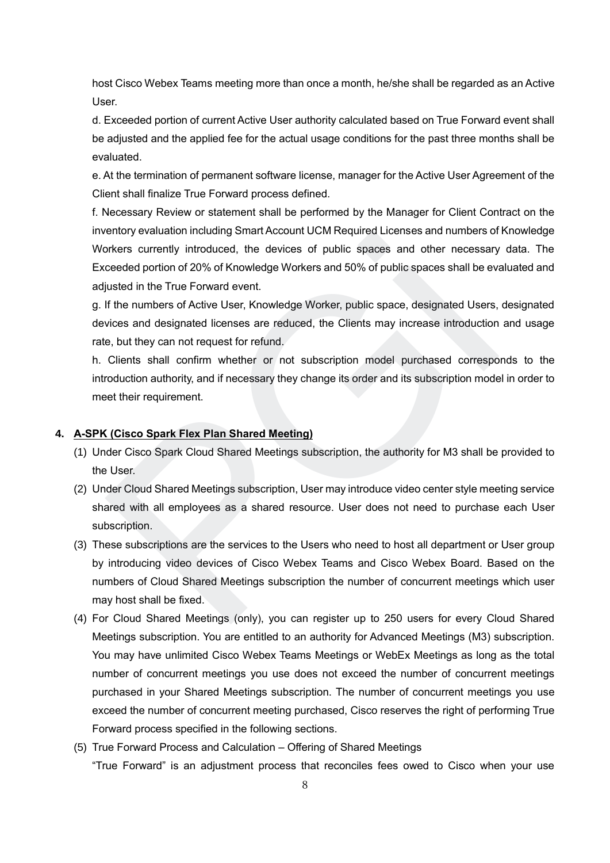host Cisco Webex Teams meeting more than once a month, he/she shall be regarded as an Active User.

d. Exceeded portion of current Active User authority calculated based on True Forward event shall be adjusted and the applied fee for the actual usage conditions for the past three months shall be evaluated.

e. At the termination of permanent software license, manager for the Active User Agreement of the Client shall finalize True Forward process defined.

f. Necessary Review or statement shall be performed by the Manager for Client Contract on the inventory evaluation including Smart Account UCM Required Licenses and numbers of Knowledge Workers currently introduced, the devices of public spaces and other necessary data. The Exceeded portion of 20% of Knowledge Workers and 50% of public spaces shall be evaluated and adjusted in the True Forward event.

g. If the numbers of Active User, Knowledge Worker, public space, designated Users, designated devices and designated licenses are reduced, the Clients may increase introduction and usage rate, but they can not request for refund.

h. Clients shall confirm whether or not subscription model purchased corresponds to the introduction authority, and if necessary they change its order and its subscription model in order to meet their requirement.

#### **4. A-SPK (Cisco Spark Flex Plan Shared Meeting)**

- (1) Under Cisco Spark Cloud Shared Meetings subscription, the authority for M3 shall be provided to the User.
- (2) Under Cloud Shared Meetings subscription, User may introduce video center style meeting service shared with all employees as a shared resource. User does not need to purchase each User subscription.
- (3) These subscriptions are the services to the Users who need to host all department or User group by introducing video devices of Cisco Webex Teams and Cisco Webex Board. Based on the numbers of Cloud Shared Meetings subscription the number of concurrent meetings which user may host shall be fixed. entory evaluation including Smart Account OCM Required Licenses and numbers of<br>orders currently introduced, the devices of public spaces and other necessary<br>conseded portion of 20% of Knowledge Workers and 50% of public sp
- (4) For Cloud Shared Meetings (only), you can register up to 250 users for every Cloud Shared Meetings subscription. You are entitled to an authority for Advanced Meetings (M3) subscription. You may have unlimited Cisco Webex Teams Meetings or WebEx Meetings as long as the total number of concurrent meetings you use does not exceed the number of concurrent meetings purchased in your Shared Meetings subscription. The number of concurrent meetings you use exceed the number of concurrent meeting purchased, Cisco reserves the right of performing True Forward process specified in the following sections.
- (5) True Forward Process and Calculation Offering of Shared Meetings "True Forward" is an adjustment process that reconciles fees owed to Cisco when your use